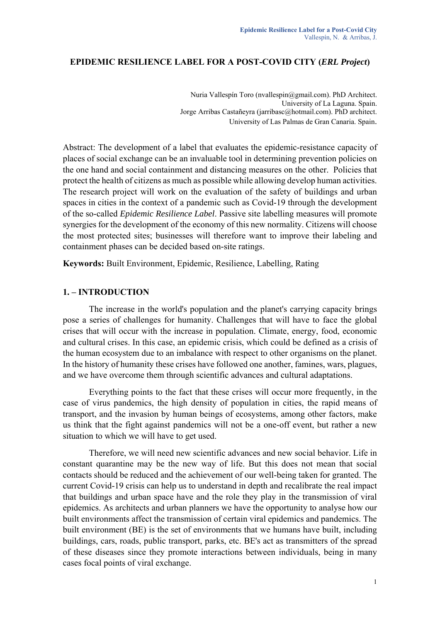#### **EPIDEMIC RESILIENCE LABEL FOR A POST-COVID CITY (***ERL Project***)**

Nuria Vallespín Toro (nvallespin@gmail.com). PhD Architect. University of La Laguna. Spain. Jorge Arribas Castañeyra (jarribasc@hotmail.com). PhD architect. University of Las Palmas de Gran Canaria. Spain.

Abstract: The development of a label that evaluates the epidemic-resistance capacity of places of social exchange can be an invaluable tool in determining prevention policies on the one hand and social containment and distancing measures on the other. Policies that protect the health of citizens as much as possible while allowing develop human activities. The research project will work on the evaluation of the safety of buildings and urban spaces in cities in the context of a pandemic such as Covid-19 through the development of the so-called *Epidemic Resilience Label*. Passive site labelling measures will promote synergies for the development of the economy of this new normality. Citizens will choose the most protected sites; businesses will therefore want to improve their labeling and containment phases can be decided based on-site ratings.

**Keywords:** Built Environment, Epidemic, Resilience, Labelling, Rating

#### **1. – INTRODUCTION**

The increase in the world's population and the planet's carrying capacity brings pose a series of challenges for humanity. Challenges that will have to face the global crises that will occur with the increase in population. Climate, energy, food, economic and cultural crises. In this case, an epidemic crisis, which could be defined as a crisis of the human ecosystem due to an imbalance with respect to other organisms on the planet. In the history of humanity these crises have followed one another, famines, wars, plagues, and we have overcome them through scientific advances and cultural adaptations.

Everything points to the fact that these crises will occur more frequently, in the case of virus pandemics, the high density of population in cities, the rapid means of transport, and the invasion by human beings of ecosystems, among other factors, make us think that the fight against pandemics will not be a one-off event, but rather a new situation to which we will have to get used.

Therefore, we will need new scientific advances and new social behavior. Life in constant quarantine may be the new way of life. But this does not mean that social contacts should be reduced and the achievement of our well-being taken for granted. The current Covid-19 crisis can help us to understand in depth and recalibrate the real impact that buildings and urban space have and the role they play in the transmission of viral epidemics. As architects and urban planners we have the opportunity to analyse how our built environments affect the transmission of certain viral epidemics and pandemics. The built environment (BE) is the set of environments that we humans have built, including buildings, cars, roads, public transport, parks, etc. BE's act as transmitters of the spread of these diseases since they promote interactions between individuals, being in many cases focal points of viral exchange.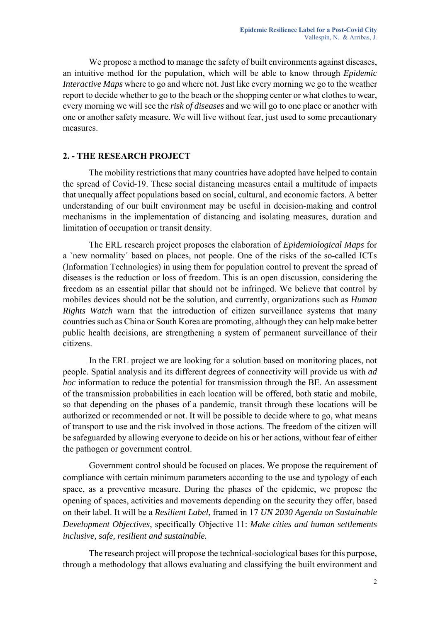We propose a method to manage the safety of built environments against diseases, an intuitive method for the population, which will be able to know through *Epidemic Interactive Maps* where to go and where not. Just like every morning we go to the weather report to decide whether to go to the beach or the shopping center or what clothes to wear, every morning we will see the *risk of diseases* and we will go to one place or another with one or another safety measure. We will live without fear, just used to some precautionary measures.

# **2. - THE RESEARCH PROJECT**

The mobility restrictions that many countries have adopted have helped to contain the spread of Covid-19. These social distancing measures entail a multitude of impacts that unequally affect populations based on social, cultural, and economic factors. A better understanding of our built environment may be useful in decision-making and control mechanisms in the implementation of distancing and isolating measures, duration and limitation of occupation or transit density.

The ERL research project proposes the elaboration of *Epidemiological Maps* for a `new normality´ based on places, not people. One of the risks of the so-called ICTs (Information Technologies) in using them for population control to prevent the spread of diseases is the reduction or loss of freedom. This is an open discussion, considering the freedom as an essential pillar that should not be infringed. We believe that control by mobiles devices should not be the solution, and currently, organizations such as *Human Rights Watch* warn that the introduction of citizen surveillance systems that many countries such as China or South Korea are promoting, although they can help make better public health decisions, are strengthening a system of permanent surveillance of their citizens.

In the ERL project we are looking for a solution based on monitoring places, not people. Spatial analysis and its different degrees of connectivity will provide us with *ad hoc* information to reduce the potential for transmission through the BE. An assessment of the transmission probabilities in each location will be offered, both static and mobile, so that depending on the phases of a pandemic, transit through these locations will be authorized or recommended or not. It will be possible to decide where to go, what means of transport to use and the risk involved in those actions. The freedom of the citizen will be safeguarded by allowing everyone to decide on his or her actions, without fear of either the pathogen or government control.

Government control should be focused on places. We propose the requirement of compliance with certain minimum parameters according to the use and typology of each space, as a preventive measure. During the phases of the epidemic, we propose the opening of spaces, activities and movements depending on the security they offer, based on their label. It will be a *Resilient Label*, framed in 17 *UN 2030 Agenda on Sustainable Development Objectives*, specifically Objective 11: *Make cities and human settlements inclusive, safe, resilient and sustainable.*

The research project will propose the technical-sociological bases for this purpose, through a methodology that allows evaluating and classifying the built environment and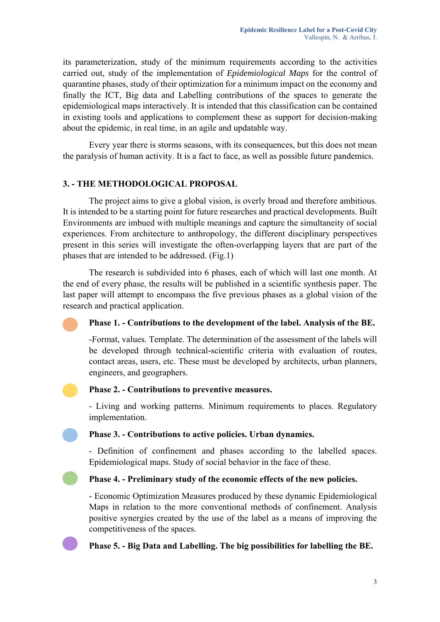its parameterization, study of the minimum requirements according to the activities carried out, study of the implementation of *Epidemiological Maps* for the control of quarantine phases, study of their optimization for a minimum impact on the economy and finally the ICT, Big data and Labelling contributions of the spaces to generate the epidemiological maps interactively. It is intended that this classification can be contained in existing tools and applications to complement these as support for decision-making about the epidemic, in real time, in an agile and updatable way.

Every year there is storms seasons, with its consequences, but this does not mean the paralysis of human activity. It is a fact to face, as well as possible future pandemics.

## **3. - THE METHODOLOGICAL PROPOSAL**

The project aims to give a global vision, is overly broad and therefore ambitious. It is intended to be a starting point for future researches and practical developments. Built Environments are imbued with multiple meanings and capture the simultaneity of social experiences. From architecture to anthropology, the different disciplinary perspectives present in this series will investigate the often-overlapping layers that are part of the phases that are intended to be addressed. (Fig.1)

The research is subdivided into 6 phases, each of which will last one month. At the end of every phase, the results will be published in a scientific synthesis paper. The last paper will attempt to encompass the five previous phases as a global vision of the research and practical application.

#### **Phase 1. - Contributions to the development of the label. Analysis of the BE.**

-Format, values. Template. The determination of the assessment of the labels will be developed through technical-scientific criteria with evaluation of routes, contact areas, users, etc. These must be developed by architects, urban planners, engineers, and geographers.

#### **Phase 2. - Contributions to preventive measures.**

- Living and working patterns. Minimum requirements to places. Regulatory implementation.

 **Phase 3. - Contributions to active policies. Urban dynamics.** 

- Definition of confinement and phases according to the labelled spaces. Epidemiological maps. Study of social behavior in the face of these.

#### **Phase 4. - Preliminary study of the economic effects of the new policies.**

- Economic Optimization Measures produced by these dynamic Epidemiological Maps in relation to the more conventional methods of confinement. Analysis positive synergies created by the use of the label as a means of improving the competitiveness of the spaces.

## **Phase 5. - Big Data and Labelling. The big possibilities for labelling the BE.**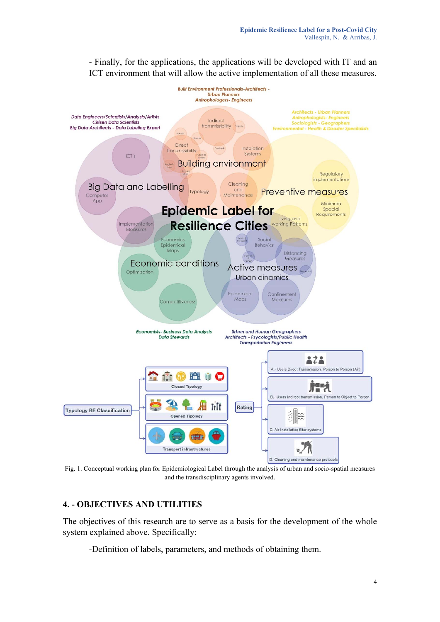

- Finally, for the applications, the applications will be developed with IT and an ICT environment that will allow the active implementation of all these measures.

Fig. 1. Conceptual working plan for Epidemiological Label through the analysis of urban and socio-spatial measures and the transdisciplinary agents involved.

# **4. - OBJECTIVES AND UTILITIES**

The objectives of this research are to serve as a basis for the development of the whole system explained above. Specifically:

-Definition of labels, parameters, and methods of obtaining them.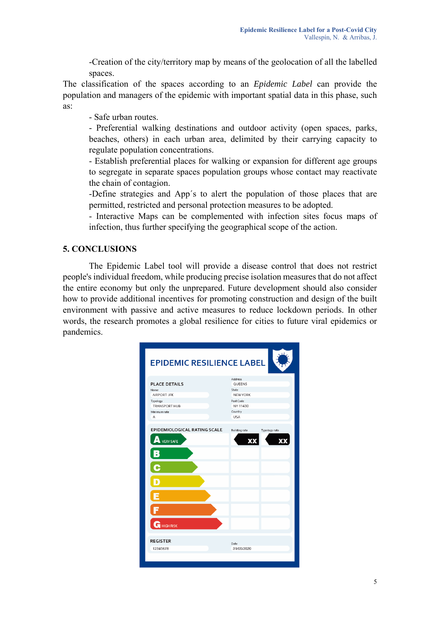-Creation of the city/territory map by means of the geolocation of all the labelled spaces.

The classification of the spaces according to an *Epidemic Label* can provide the population and managers of the epidemic with important spatial data in this phase, such as:

- Safe urban routes.

- Preferential walking destinations and outdoor activity (open spaces, parks, beaches, others) in each urban area, delimited by their carrying capacity to regulate population concentrations.

- Establish preferential places for walking or expansion for different age groups to segregate in separate spaces population groups whose contact may reactivate the chain of contagion.

-Define strategies and App´s to alert the population of those places that are permitted, restricted and personal protection measures to be adopted.

- Interactive Maps can be complemented with infection sites focus maps of infection, thus further specifying the geographical scope of the action.

# **5. CONCLUSIONS**

The Epidemic Label tool will provide a disease control that does not restrict people's individual freedom, while producing precise isolation measures that do not affect the entire economy but only the unprepared. Future development should also consider how to provide additional incentives for promoting construction and design of the built environment with passive and active measures to reduce lockdown periods. In other words, the research promotes a global resilience for cities to future viral epidemics or pandemics.

| <b>EPIDEMIC RESILIENCE LABEL</b>                                                                     |                                                                                                 |
|------------------------------------------------------------------------------------------------------|-------------------------------------------------------------------------------------------------|
| <b>PLACE DETAILS</b><br>Name<br>AIRPORT JFK<br>Typology<br><b>TRANSPORT HUB</b><br>Minimum rate<br>A | Address<br>QUEENS<br>State<br><b>NEW YORK</b><br>Post Code<br>NY 11430<br>Country<br><b>USA</b> |
| EPIDEMIOLOGICAL RATING SCALE<br>Δ<br>VERY SAFE<br>B<br>С<br>п                                        | Building rate<br>Typology rate<br>XX<br>XX                                                      |
| Е<br><b>HIGH RISK</b>                                                                                |                                                                                                 |
| <b>REGISTER</b><br>12345678                                                                          | Date<br>31/05/2020                                                                              |